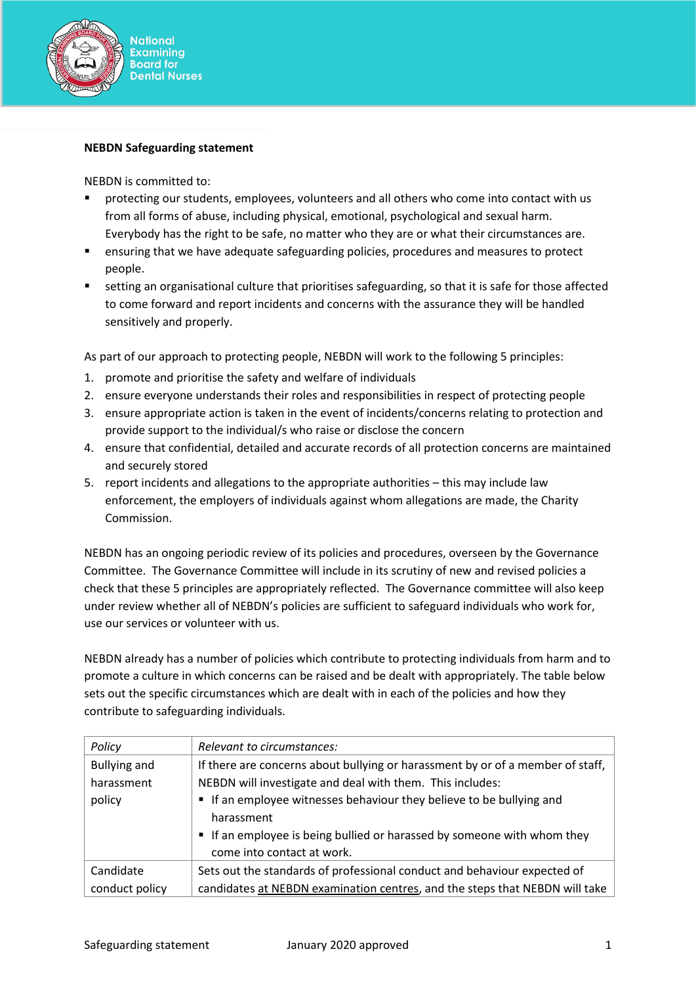

## **NEBDN Safeguarding statement**

NEBDN is committed to:

- protecting our students, employees, volunteers and all others who come into contact with us from all forms of abuse, including physical, emotional, psychological and sexual harm. Everybody has the right to be safe, no matter who they are or what their circumstances are.
- ensuring that we have adequate safeguarding policies, procedures and measures to protect people.
- setting an organisational culture that prioritises safeguarding, so that it is safe for those affected to come forward and report incidents and concerns with the assurance they will be handled sensitively and properly.

As part of our approach to protecting people, NEBDN will work to the following 5 principles:

- 1. promote and prioritise the safety and welfare of individuals
- 2. ensure everyone understands their roles and responsibilities in respect of protecting people
- 3. ensure appropriate action is taken in the event of incidents/concerns relating to protection and provide support to the individual/s who raise or disclose the concern
- 4. ensure that confidential, detailed and accurate records of all protection concerns are maintained and securely stored
- 5. report incidents and allegations to the appropriate authorities this may include law enforcement, the employers of individuals against whom allegations are made, the Charity Commission.

NEBDN has an ongoing periodic review of its policies and procedures, overseen by the Governance Committee. The Governance Committee will include in its scrutiny of new and revised policies a check that these 5 principles are appropriately reflected. The Governance committee will also keep under review whether all of NEBDN's policies are sufficient to safeguard individuals who work for, use our services or volunteer with us.

NEBDN already has a number of policies which contribute to protecting individuals from harm and to promote a culture in which concerns can be raised and be dealt with appropriately. The table below sets out the specific circumstances which are dealt with in each of the policies and how they contribute to safeguarding individuals.

| Policy              | Relevant to circumstances:                                                     |
|---------------------|--------------------------------------------------------------------------------|
| <b>Bullying and</b> | If there are concerns about bullying or harassment by or of a member of staff, |
| harassment          | NEBDN will investigate and deal with them. This includes:                      |
| policy              | " If an employee witnesses behaviour they believe to be bullying and           |
|                     | harassment                                                                     |
|                     | " If an employee is being bullied or harassed by someone with whom they        |
|                     | come into contact at work.                                                     |
| Candidate           | Sets out the standards of professional conduct and behaviour expected of       |
| conduct policy      | candidates at NEBDN examination centres, and the steps that NEBDN will take    |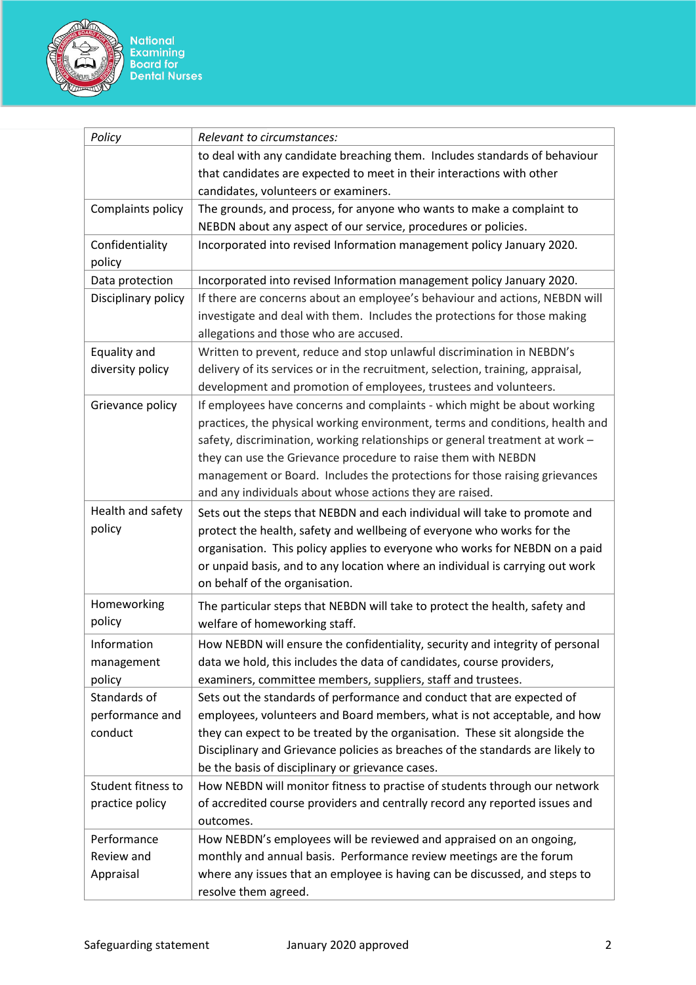

| Policy                 | Relevant to circumstances:                                                                                                                           |
|------------------------|------------------------------------------------------------------------------------------------------------------------------------------------------|
|                        | to deal with any candidate breaching them. Includes standards of behaviour                                                                           |
|                        | that candidates are expected to meet in their interactions with other                                                                                |
|                        | candidates, volunteers or examiners.                                                                                                                 |
| Complaints policy      | The grounds, and process, for anyone who wants to make a complaint to                                                                                |
|                        | NEBDN about any aspect of our service, procedures or policies.                                                                                       |
| Confidentiality        | Incorporated into revised Information management policy January 2020.                                                                                |
| policy                 |                                                                                                                                                      |
| Data protection        | Incorporated into revised Information management policy January 2020.                                                                                |
| Disciplinary policy    | If there are concerns about an employee's behaviour and actions, NEBDN will                                                                          |
|                        | investigate and deal with them. Includes the protections for those making                                                                            |
|                        | allegations and those who are accused.                                                                                                               |
| Equality and           | Written to prevent, reduce and stop unlawful discrimination in NEBDN's                                                                               |
| diversity policy       | delivery of its services or in the recruitment, selection, training, appraisal,                                                                      |
|                        | development and promotion of employees, trustees and volunteers.                                                                                     |
| Grievance policy       | If employees have concerns and complaints - which might be about working                                                                             |
|                        | practices, the physical working environment, terms and conditions, health and                                                                        |
|                        | safety, discrimination, working relationships or general treatment at work -                                                                         |
|                        | they can use the Grievance procedure to raise them with NEBDN<br>management or Board. Includes the protections for those raising grievances          |
|                        | and any individuals about whose actions they are raised.                                                                                             |
| Health and safety      |                                                                                                                                                      |
| policy                 | Sets out the steps that NEBDN and each individual will take to promote and<br>protect the health, safety and wellbeing of everyone who works for the |
|                        | organisation. This policy applies to everyone who works for NEBDN on a paid                                                                          |
|                        | or unpaid basis, and to any location where an individual is carrying out work                                                                        |
|                        | on behalf of the organisation.                                                                                                                       |
| Homeworking            | The particular steps that NEBDN will take to protect the health, safety and                                                                          |
| policy                 | welfare of homeworking staff.                                                                                                                        |
|                        |                                                                                                                                                      |
| Information            | How NEBDN will ensure the confidentiality, security and integrity of personal                                                                        |
| management             | data we hold, this includes the data of candidates, course providers,<br>examiners, committee members, suppliers, staff and trustees.                |
| policy<br>Standards of | Sets out the standards of performance and conduct that are expected of                                                                               |
| performance and        | employees, volunteers and Board members, what is not acceptable, and how                                                                             |
| conduct                | they can expect to be treated by the organisation. These sit alongside the                                                                           |
|                        | Disciplinary and Grievance policies as breaches of the standards are likely to                                                                       |
|                        | be the basis of disciplinary or grievance cases.                                                                                                     |
| Student fitness to     | How NEBDN will monitor fitness to practise of students through our network                                                                           |
| practice policy        | of accredited course providers and centrally record any reported issues and                                                                          |
|                        | outcomes.                                                                                                                                            |
| Performance            | How NEBDN's employees will be reviewed and appraised on an ongoing,                                                                                  |
| Review and             | monthly and annual basis. Performance review meetings are the forum                                                                                  |
| Appraisal              | where any issues that an employee is having can be discussed, and steps to                                                                           |
|                        | resolve them agreed.                                                                                                                                 |